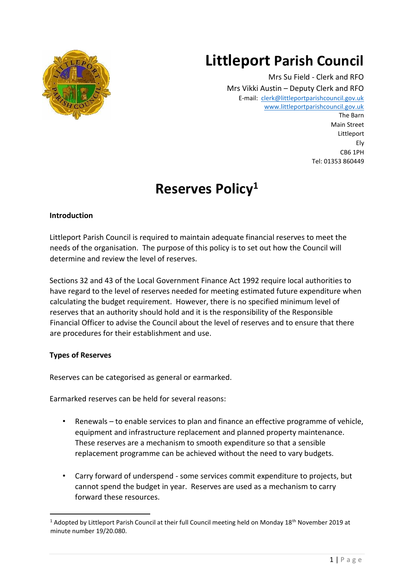# **Littleport Parish Council**



Mrs Su Field - Clerk and RFO Mrs Vikki Austin – Deputy Clerk and RFO E-mail: [clerk@littleportparishcouncil.gov.uk](mailto:clerk@littleportparishcouncil.gov.uk) www.littleportparishcouncil.gov.u[k](http://www.ststepheninbrannel-pc.org.uk/) The Barn

Main Street Littleport Ely CB6 1PH Tel: 01353 860449

## **Reserves Policy<sup>1</sup>**

## **Introduction**

Littleport Parish Council is required to maintain adequate financial reserves to meet the needs of the organisation. The purpose of this policy is to set out how the Council will determine and review the level of reserves.

Sections 32 and 43 of the Local Government Finance Act 1992 require local authorities to have regard to the level of reserves needed for meeting estimated future expenditure when calculating the budget requirement. However, there is no specified minimum level of reserves that an authority should hold and it is the responsibility of the Responsible Financial Officer to advise the Council about the level of reserves and to ensure that there are procedures for their establishment and use.

## **Types of Reserves**

Reserves can be categorised as general or earmarked.

Earmarked reserves can be held for several reasons:

- Renewals to enable services to plan and finance an effective programme of vehicle, equipment and infrastructure replacement and planned property maintenance. These reserves are a mechanism to smooth expenditure so that a sensible replacement programme can be achieved without the need to vary budgets.
- Carry forward of underspend some services commit expenditure to projects, but cannot spend the budget in year. Reserves are used as a mechanism to carry forward these resources.

<sup>&</sup>lt;sup>1</sup> Adopted by Littleport Parish Council at their full Council meeting held on Monday 18<sup>th</sup> November 2019 at minute number 19/20.080.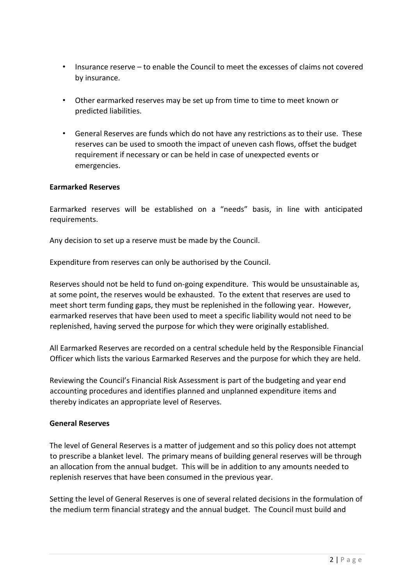- Insurance reserve to enable the Council to meet the excesses of claims not covered by insurance.
- Other earmarked reserves may be set up from time to time to meet known or predicted liabilities.
- General Reserves are funds which do not have any restrictions as to their use. These reserves can be used to smooth the impact of uneven cash flows, offset the budget requirement if necessary or can be held in case of unexpected events or emergencies.

#### **Earmarked Reserves**

Earmarked reserves will be established on a "needs" basis, in line with anticipated requirements.

Any decision to set up a reserve must be made by the Council.

Expenditure from reserves can only be authorised by the Council.

Reserves should not be held to fund on-going expenditure. This would be unsustainable as, at some point, the reserves would be exhausted. To the extent that reserves are used to meet short term funding gaps, they must be replenished in the following year. However, earmarked reserves that have been used to meet a specific liability would not need to be replenished, having served the purpose for which they were originally established.

All Earmarked Reserves are recorded on a central schedule held by the Responsible Financial Officer which lists the various Earmarked Reserves and the purpose for which they are held.

Reviewing the Council's Financial Risk Assessment is part of the budgeting and year end accounting procedures and identifies planned and unplanned expenditure items and thereby indicates an appropriate level of Reserves.

#### **General Reserves**

The level of General Reserves is a matter of judgement and so this policy does not attempt to prescribe a blanket level. The primary means of building general reserves will be through an allocation from the annual budget. This will be in addition to any amounts needed to replenish reserves that have been consumed in the previous year.

Setting the level of General Reserves is one of several related decisions in the formulation of the medium term financial strategy and the annual budget. The Council must build and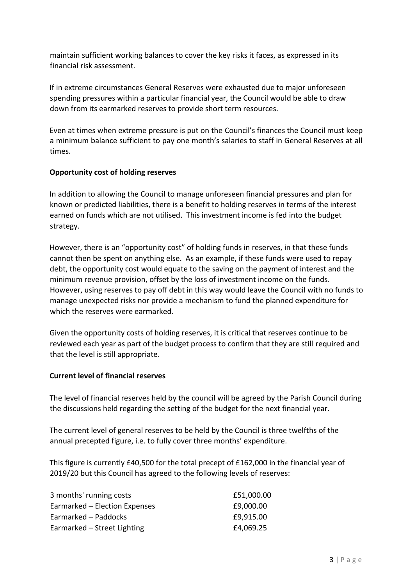maintain sufficient working balances to cover the key risks it faces, as expressed in its financial risk assessment.

If in extreme circumstances General Reserves were exhausted due to major unforeseen spending pressures within a particular financial year, the Council would be able to draw down from its earmarked reserves to provide short term resources.

Even at times when extreme pressure is put on the Council's finances the Council must keep a minimum balance sufficient to pay one month's salaries to staff in General Reserves at all times.

### **Opportunity cost of holding reserves**

In addition to allowing the Council to manage unforeseen financial pressures and plan for known or predicted liabilities, there is a benefit to holding reserves in terms of the interest earned on funds which are not utilised. This investment income is fed into the budget strategy.

However, there is an "opportunity cost" of holding funds in reserves, in that these funds cannot then be spent on anything else. As an example, if these funds were used to repay debt, the opportunity cost would equate to the saving on the payment of interest and the minimum revenue provision, offset by the loss of investment income on the funds. However, using reserves to pay off debt in this way would leave the Council with no funds to manage unexpected risks nor provide a mechanism to fund the planned expenditure for which the reserves were earmarked.

Given the opportunity costs of holding reserves, it is critical that reserves continue to be reviewed each year as part of the budget process to confirm that they are still required and that the level is still appropriate.

#### **Current level of financial reserves**

The level of financial reserves held by the council will be agreed by the Parish Council during the discussions held regarding the setting of the budget for the next financial year.

The current level of general reserves to be held by the Council is three twelfths of the annual precepted figure, i.e. to fully cover three months' expenditure.

This figure is currently £40,500 for the total precept of £162,000 in the financial year of 2019/20 but this Council has agreed to the following levels of reserves:

| £51,000.00 |
|------------|
| £9,000.00  |
| £9,915.00  |
| £4,069.25  |
|            |